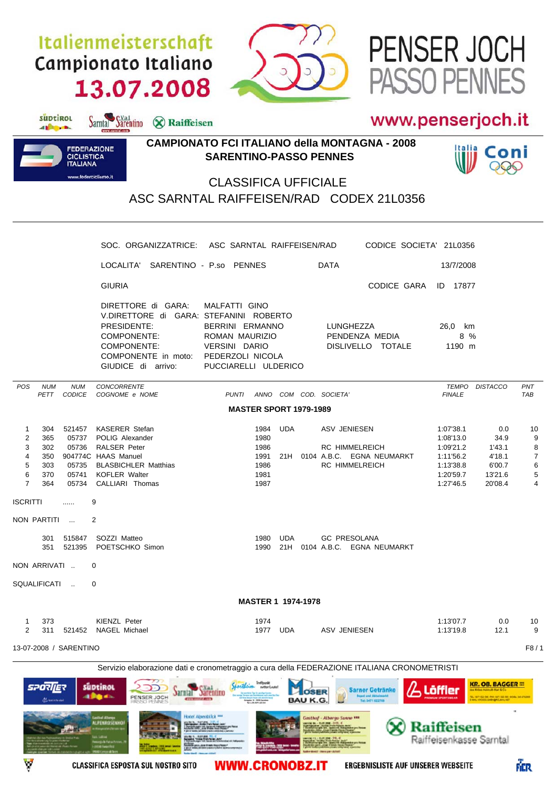## Italienmeisterschaft Campionato Italiano 13.07.2008

Sarntal Sarentino & Raiffeisen



## www.penserjoch.it

PASSO PENNES

PENSER JOCH



suptirol

different.

## **CAMPIONATO FCI ITALIANO della MONTAGNA - 2008 SARENTINO-PASSO PENNES**



## CLASSIFICA UFFICIALE ASC SARNTAL RAIFFEISEN/RAD CODEX 21L0356

|                                                                                                                                                                                                                                                | SOC. ORGANIZZATRICE: ASC SARNTAL RAIFFEISEN/RAD                                                                                                                                                                                                                                                                                                 |                                                                                                                                  | CODICE SOCIETA' 21L0356                                                                                                                                 |                                                                                                                                                            |                                               |  |  |  |  |
|------------------------------------------------------------------------------------------------------------------------------------------------------------------------------------------------------------------------------------------------|-------------------------------------------------------------------------------------------------------------------------------------------------------------------------------------------------------------------------------------------------------------------------------------------------------------------------------------------------|----------------------------------------------------------------------------------------------------------------------------------|---------------------------------------------------------------------------------------------------------------------------------------------------------|------------------------------------------------------------------------------------------------------------------------------------------------------------|-----------------------------------------------|--|--|--|--|
|                                                                                                                                                                                                                                                | LOCALITA' SARENTINO - P.so PENNES                                                                                                                                                                                                                                                                                                               |                                                                                                                                  | <b>DATA</b>                                                                                                                                             | 13/7/2008                                                                                                                                                  |                                               |  |  |  |  |
|                                                                                                                                                                                                                                                | <b>GIURIA</b>                                                                                                                                                                                                                                                                                                                                   |                                                                                                                                  | CODICE GARA ID 17877                                                                                                                                    |                                                                                                                                                            |                                               |  |  |  |  |
|                                                                                                                                                                                                                                                | DIRETTORE di GARA:<br>V.DIRETTORE di GARA: STEFANINI ROBERTO<br>PRESIDENTE:<br>COMPONENTE:<br>COMPONENTE:<br>COMPONENTE in moto: PEDERZOLI NICOLA<br>GIUDICE di arrivo:                                                                                                                                                                         | MALFATTI GINO<br>BERRINI ERMANNO<br>ROMAN MAURIZIO<br>VERSINI DARIO<br>PUCCIARELLI ULDERICO                                      | LUNGHEZZA<br>PENDENZA MEDIA<br>DISLIVELLO TOTALE                                                                                                        | 26,0 km<br>8 %<br>1190 m                                                                                                                                   |                                               |  |  |  |  |
| <b>POS</b><br><b>NUM</b><br><b>NUM</b><br>PETT CODICE                                                                                                                                                                                          | <b>CONCORRENTE</b><br>COGNOME e NOME                                                                                                                                                                                                                                                                                                            | PUNTI ANNO COM COD. SOCIETA'                                                                                                     |                                                                                                                                                         | TEMPO<br><b>DISTACCO</b><br><b>FINALE</b>                                                                                                                  | PNT<br><b>TAB</b>                             |  |  |  |  |
|                                                                                                                                                                                                                                                |                                                                                                                                                                                                                                                                                                                                                 | <b>MASTER SPORT 1979-1989</b>                                                                                                    |                                                                                                                                                         |                                                                                                                                                            |                                               |  |  |  |  |
| $\mathbf{1}$<br>304<br>$\overline{c}$<br>365<br>05737<br>3<br>302<br>05736<br>4<br>350<br>5<br>05735<br>303<br>6<br>370<br>05741<br>$\overline{7}$<br>364<br><b>ISCRITTI</b><br>.<br>NON PARTITI<br>301 515847<br>NON ARRIVATI<br>SQUALIFICATI | 521457 KASERER Stefan<br>POLIG Alexander<br><b>RALSER Peter</b><br>904774C HAAS Manuel<br><b>BLASBICHLER Matthias</b><br><b>KOFLER Walter</b><br>05734 CALLIARI Thomas<br>9<br>2<br>SOZZI Matteo<br>351 521395 POETSCHKO Simon<br>0<br>0                                                                                                        | UDA<br>1984<br>1980<br>1986<br>1991<br>1986<br>1981<br>1987<br>UDA<br>1980<br>1990                                               | ASV JENIESEN<br><b>RC HIMMELREICH</b><br>21H 0104 A.B.C. EGNA NEUMARKT<br><b>RC HIMMELREICH</b><br><b>GC PRESOLANA</b><br>21H 0104 A.B.C. EGNA NEUMARKT | 1:07'38.1<br>0.0<br>1:08'13.0<br>34.9<br>1:09'21.2<br>1'43.1<br>1:11'56.2<br>4'18.1<br>1:13'38.8<br>6'00.7<br>13'21.6<br>1:20'59.7<br>1:27'46.5<br>20'08.4 | 10<br>9<br>8<br>$\overline{7}$<br>6<br>5<br>4 |  |  |  |  |
| <b>MASTER 1 1974-1978</b>                                                                                                                                                                                                                      |                                                                                                                                                                                                                                                                                                                                                 |                                                                                                                                  |                                                                                                                                                         |                                                                                                                                                            |                                               |  |  |  |  |
| 1<br>373<br>$\overline{2}$<br>311                                                                                                                                                                                                              | KIENZL Peter<br>521452 NAGEL Michael                                                                                                                                                                                                                                                                                                            | 1974<br>UDA<br>1977                                                                                                              | ASV JENIESEN                                                                                                                                            | 1:13'07.7<br>0.0<br>1:13'19.8<br>12.1                                                                                                                      | 10<br>9                                       |  |  |  |  |
| 13-07-2008 / SARENTINO                                                                                                                                                                                                                         |                                                                                                                                                                                                                                                                                                                                                 |                                                                                                                                  |                                                                                                                                                         |                                                                                                                                                            | F8/1                                          |  |  |  |  |
| <b>SPORIER</b><br><b>AL ANDREW AND</b>                                                                                                                                                                                                         | Servizio elaborazione dati e cronometraggio a cura della FEDERAZIONE ITALIANA CRONOMETRISTI<br>süptikol<br><b>PALERE PELLED</b><br>abas.<br>PENSER JOCH<br><b>CITY ANNUAL AND</b><br><b>FRSSO PENNES</b><br>Hotel Alpenblick ***<br>Sechal Alberta<br>ALPENROSENHOF<br><b>RANDA MENTRE</b><br>RANDART EN WANTERREST<br><b><i>CONTRACTOR</i></b> | Treffpunkt<br>Cartherin<br>netter Loute!<br><b>LOSER</b><br><b>BAU K.G.</b><br>Seguitor 18 - 2005 Secolula<br>NE AURI MIT 62 234 | <b>Sarner Getränke</b><br>Tel: 0471 622718<br>Gasthof - Albergo Sunne ***                                                                               | <b>KR. OB. BAGGER TO</b><br><b>Löffler</b><br>les Kröss Halinuth Karl & Co<br><b>Raiffeisen</b>                                                            |                                               |  |  |  |  |

**WWW.CRONOBZ.IT** 

**ERGEBNISLISTE AUF UNSERER WEBSEITE** 

FIER

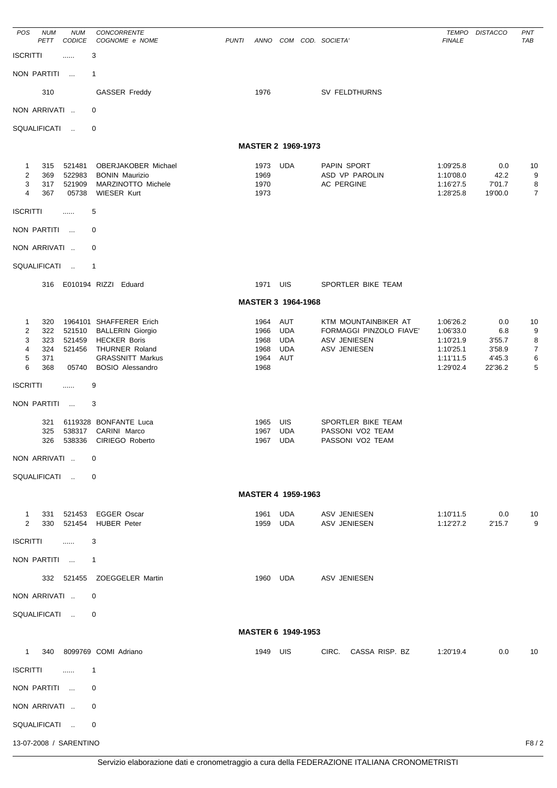| POS                                                                   | <b>NUM</b><br><b>PETT</b>              | <b>NUM</b><br>CODICE                     | CONCORRENTE<br>COGNOME e NOME                                                                                                                          | <b>PUNTI</b> |                                              |                                                             | ANNO COM COD. SOCIETA'                                                          | <b>TEMPO</b><br><b>FINALE</b>                                              | <b>DISTACCO</b>                                     | PNT<br>TAB                               |
|-----------------------------------------------------------------------|----------------------------------------|------------------------------------------|--------------------------------------------------------------------------------------------------------------------------------------------------------|--------------|----------------------------------------------|-------------------------------------------------------------|---------------------------------------------------------------------------------|----------------------------------------------------------------------------|-----------------------------------------------------|------------------------------------------|
| <b>ISCRITTI</b>                                                       |                                        | .                                        | 3                                                                                                                                                      |              |                                              |                                                             |                                                                                 |                                                                            |                                                     |                                          |
|                                                                       | NON PARTITI                            | $\sim$                                   | 1                                                                                                                                                      |              |                                              |                                                             |                                                                                 |                                                                            |                                                     |                                          |
|                                                                       | 310                                    |                                          | <b>GASSER Freddy</b>                                                                                                                                   |              | 1976                                         |                                                             | SV FELDTHURNS                                                                   |                                                                            |                                                     |                                          |
|                                                                       | NON ARRIVATI                           |                                          | 0                                                                                                                                                      |              |                                              |                                                             |                                                                                 |                                                                            |                                                     |                                          |
|                                                                       | SQUALIFICATI                           | $\sim$                                   | 0                                                                                                                                                      |              |                                              |                                                             |                                                                                 |                                                                            |                                                     |                                          |
|                                                                       |                                        |                                          |                                                                                                                                                        |              |                                              | MASTER 2 1969-1973                                          |                                                                                 |                                                                            |                                                     |                                          |
| $\mathbf{1}$<br>$\overline{c}$<br>3<br>$\overline{4}$                 | 315<br>369<br>317<br>367               | 521481<br>522983<br>521909<br>05738      | <b>OBERJAKOBER Michael</b><br><b>BONIN Maurizio</b><br>MARZINOTTO Michele<br><b>WIESER Kurt</b>                                                        |              | 1973<br>1969<br>1970<br>1973                 | <b>UDA</b>                                                  | PAPIN SPORT<br>ASD VP PAROLIN<br>AC PERGINE                                     | 1:09'25.8<br>1:10'08.0<br>1:16'27.5<br>1:28'25.8                           | 0.0<br>42.2<br>7'01.7<br>19'00.0                    | 10<br>9<br>8<br>$\overline{7}$           |
| <b>ISCRITTI</b>                                                       |                                        | .                                        | 5                                                                                                                                                      |              |                                              |                                                             |                                                                                 |                                                                            |                                                     |                                          |
|                                                                       | NON PARTITI                            | $\overline{\phantom{a}}$                 | 0                                                                                                                                                      |              |                                              |                                                             |                                                                                 |                                                                            |                                                     |                                          |
|                                                                       | NON ARRIVATI                           |                                          | 0                                                                                                                                                      |              |                                              |                                                             |                                                                                 |                                                                            |                                                     |                                          |
|                                                                       | SQUALIFICATI                           | $\sim$                                   | 1                                                                                                                                                      |              |                                              |                                                             |                                                                                 |                                                                            |                                                     |                                          |
|                                                                       |                                        |                                          | 316 E010194 RIZZI Eduard                                                                                                                               |              | 1971                                         | UIS                                                         | SPORTLER BIKE TEAM                                                              |                                                                            |                                                     |                                          |
|                                                                       |                                        |                                          |                                                                                                                                                        |              |                                              | MASTER 3 1964-1968                                          |                                                                                 |                                                                            |                                                     |                                          |
| $\mathbf{1}$<br>$\overline{c}$<br>3<br>4<br>5<br>6<br><b>ISCRITTI</b> | 320<br>322<br>323<br>324<br>371<br>368 | 521510<br>521459<br>521456<br>05740<br>. | 1964101 SHAFFERER Erich<br><b>BALLERIN Giorgio</b><br><b>HECKER Boris</b><br>THURNER Roland<br><b>GRASSNITT Markus</b><br><b>BOSIO Alessandro</b><br>9 |              | 1964<br>1966<br>1968<br>1968<br>1964<br>1968 | <b>AUT</b><br><b>UDA</b><br><b>UDA</b><br><b>UDA</b><br>AUT | KTM MOUNTAINBIKER AT<br>FORMAGGI PINZOLO FIAVE'<br>ASV JENIESEN<br>ASV JENIESEN | 1:06'26.2<br>1:06'33.0<br>1:10'21.9<br>1:10'25.1<br>1:11'11.5<br>1:29'02.4 | 0.0<br>6.8<br>3'55.7<br>3'58.9<br>4'45.3<br>22'36.2 | 10<br>9<br>8<br>$\overline{7}$<br>6<br>5 |
|                                                                       | NON PARTITI                            | $\sim$ 100 $\mu$                         | 3                                                                                                                                                      |              |                                              |                                                             |                                                                                 |                                                                            |                                                     |                                          |
|                                                                       | 321<br>325<br>326                      | 538317<br>538336                         | 6119328 BONFANTE Luca<br>CARINI Marco<br>CIRIEGO Roberto                                                                                               |              | 1965<br>1967<br>1967                         | UIS<br><b>UDA</b><br><b>UDA</b>                             | SPORTLER BIKE TEAM<br>PASSONI VO2 TEAM<br>PASSONI VO2 TEAM                      |                                                                            |                                                     |                                          |
|                                                                       | NON ARRIVATI                           |                                          | 0                                                                                                                                                      |              |                                              |                                                             |                                                                                 |                                                                            |                                                     |                                          |
|                                                                       | SQUALIFICATI                           |                                          | $\mathbf 0$                                                                                                                                            |              |                                              |                                                             |                                                                                 |                                                                            |                                                     |                                          |
|                                                                       |                                        |                                          |                                                                                                                                                        |              |                                              | <b>MASTER 4 1959-1963</b>                                   |                                                                                 |                                                                            |                                                     |                                          |
| $\mathbf{1}$<br>$\overline{2}$<br><b>ISCRITTI</b>                     |                                        | $\ldots$                                 | 331 521453 EGGER Oscar<br>330 521454 HUBER Peter<br>3                                                                                                  |              | 1961<br>1959                                 | UDA<br>UDA                                                  | ASV JENIESEN<br>ASV JENIESEN                                                    | 1:10'11.5<br>1:12'27.2                                                     | 0.0<br>2'15.7                                       | -10<br>9                                 |
|                                                                       |                                        | NON PARTITI  1                           |                                                                                                                                                        |              |                                              |                                                             |                                                                                 |                                                                            |                                                     |                                          |
|                                                                       |                                        |                                          | 332 521455 ZOEGGELER Martin                                                                                                                            |              |                                              |                                                             | 1960 UDA ASV JENIESEN                                                           |                                                                            |                                                     |                                          |
|                                                                       |                                        | NON ARRIVATI                             | $\overline{0}$                                                                                                                                         |              |                                              |                                                             |                                                                                 |                                                                            |                                                     |                                          |
|                                                                       |                                        | SQUALIFICATI                             | 0                                                                                                                                                      |              |                                              |                                                             |                                                                                 |                                                                            |                                                     |                                          |
|                                                                       |                                        |                                          |                                                                                                                                                        |              |                                              | MASTER 6 1949-1953                                          |                                                                                 |                                                                            |                                                     |                                          |
|                                                                       |                                        |                                          | 1 340 8099769 COMI Adriano                                                                                                                             |              | 1949 UIS                                     |                                                             | CIRC. CASSA RISP. BZ                                                            | 1:20'19.4                                                                  | 0.0                                                 | 10                                       |
| ISCRITTI                                                              |                                        | $\ldots$                                 | $\mathbf{1}$                                                                                                                                           |              |                                              |                                                             |                                                                                 |                                                                            |                                                     |                                          |
|                                                                       | NON PARTITI                            |                                          | 0                                                                                                                                                      |              |                                              |                                                             |                                                                                 |                                                                            |                                                     |                                          |
|                                                                       | NON ARRIVATI                           |                                          | 0                                                                                                                                                      |              |                                              |                                                             |                                                                                 |                                                                            |                                                     |                                          |
|                                                                       |                                        | SQUALIFICATI                             | $\mathbf 0$                                                                                                                                            |              |                                              |                                                             |                                                                                 |                                                                            |                                                     |                                          |
|                                                                       |                                        | 13-07-2008 / SARENTINO                   |                                                                                                                                                        |              |                                              |                                                             |                                                                                 |                                                                            |                                                     | F8/2                                     |